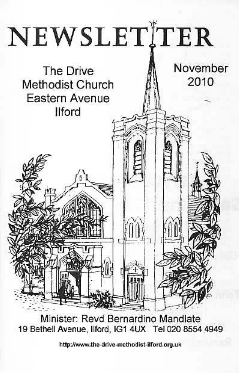

Minister: Revd Bernardino Mandlate 19 Bethell Avenue, Ilford, IG1 4UX Tel 020 8554 4949

http://www.the-drive-methodist-ilford.org.uk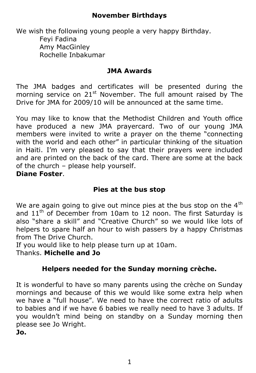# **November Birthdays**

We wish the following young people a very happy Birthday. Feyi Fadina Amy MacGinley Rochelle Inbakumar

#### **JMA Awards**

The JMA badges and certificates will be presented during the morning service on 21<sup>st</sup> November. The full amount raised by The Drive for JMA for 2009/10 will be announced at the same time.

You may like to know that the Methodist Children and Youth office have produced a new JMA prayercard. Two of our young JMA members were invited to write a prayer on the theme "connecting with the world and each other" in particular thinking of the situation in Haiti. I'm very pleased to say that their prayers were included and are printed on the back of the card. There are some at the back of the church – please help yourself.

# **Diane Foster**.

### **Pies at the bus stop**

We are again going to give out mince pies at the bus stop on the  $4<sup>th</sup>$ and  $11<sup>th</sup>$  of December from 10am to 12 noon. The first Saturday is also "share a skill" and "Creative Church" so we would like lots of helpers to spare half an hour to wish passers by a happy Christmas from The Drive Church.

If you would like to help please turn up at 10am.

Thanks. **Michelle and Jo**

#### **Helpers needed for the Sunday morning crèche.**

It is wonderful to have so many parents using the crèche on Sunday mornings and because of this we would like some extra help when we have a "full house". We need to have the correct ratio of adults to babies and if we have 6 babies we really need to have 3 adults. If you wouldn't mind being on standby on a Sunday morning then please see Jo Wright. **Jo.**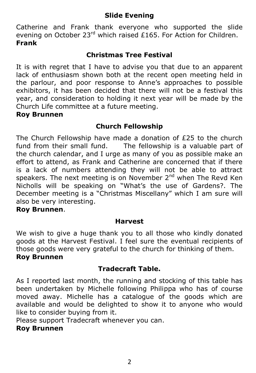# **Slide Evening**

Catherine and Frank thank everyone who supported the slide evening on October  $23^{rd}$  which raised £165. For Action for Children. **Frank**

### **Christmas Tree Festival**

It is with regret that I have to advise you that due to an apparent lack of enthusiasm shown both at the recent open meeting held in the parlour, and poor response to Anne's approaches to possible exhibitors, it has been decided that there will not be a festival this year, and consideration to holding it next year will be made by the Church Life committee at a future meeting.

#### **Roy Brunnen**

# **Church Fellowship**

The Church Fellowship have made a donation of £25 to the church fund from their small fund. The fellowship is a valuable part of The fellowship is a valuable part of the church calendar, and I urge as many of you as possible make an effort to attend, as Frank and Catherine are concerned that if there is a lack of numbers attending they will not be able to attract speakers. The next meeting is on November  $2^{nd}$  when The Revd Ken Nicholls will be speaking on "What's the use of Gardens?. The December meeting is a "Christmas Miscellany" which I am sure will also be very interesting.

### **Roy Brunnen**.

#### **Harvest**

We wish to give a huge thank you to all those who kindly donated goods at the Harvest Festival. I feel sure the eventual recipients of those goods were very grateful to the church for thinking of them. **Roy Brunnen**

#### **Tradecraft Table.**

As I reported last month, the running and stocking of this table has been undertaken by Michelle following Philippa who has of course moved away. Michelle has a catalogue of the goods which are available and would be delighted to show it to anyone who would like to consider buying from it.

Please support Tradecraft whenever you can.

## **Roy Brunnen**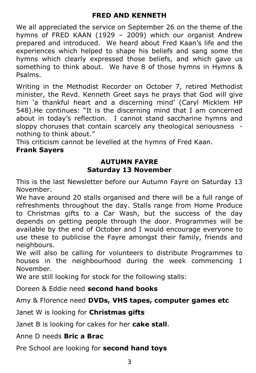### **FRED AND KENNETH**

We all appreciated the service on September 26 on the theme of the hymns of FRED KAAN (1929 – 2009) which our organist Andrew prepared and introduced. We heard about Fred Kaan's life and the experiences which helped to shape his beliefs and sang some the hymns which clearly expressed those beliefs, and which gave us something to think about. We have 8 of those hymns in Hymns & Psalms.

Writing in the Methodist Recorder on October 7, retired Methodist minister, the Revd. Kenneth Greet says he prays that God will give him 'a thankful heart and a discerning mind' (Caryl Micklem HP 548).He continues: "It is the discerning mind that I am concerned about in today's reflection. I cannot stand saccharine hymns and sloppy choruses that contain scarcely any theological seriousness nothing to think about."

This criticism cannot be levelled at the hymns of Fred Kaan.

#### **Frank Sayers**

# **AUTUMN FAYRE Saturday 13 November**

This is the last Newsletter before our Autumn Fayre on Saturday 13 November.

We have around 20 stalls organised and there will be a full range of refreshments throughout the day. Stalls range from Home Produce to Christmas gifts to a Car Wash, but the success of the day depends on getting people through the door. Programmes will be available by the end of October and I would encourage everyone to use these to publicise the Fayre amongst their family, friends and neighbours.

We will also be calling for volunteers to distribute Programmes to houses in the neighbourhood during the week commencing 1 November.

We are still looking for stock for the following stalls:

Doreen & Eddie need **second hand books**

Amy & Florence need **DVDs, VHS tapes, computer games etc**

Janet W is looking for **Christmas gifts**

Janet B is looking for cakes for her **cake stall**.

Anne D needs **Bric a Brac**

Pre School are looking for **second hand toys**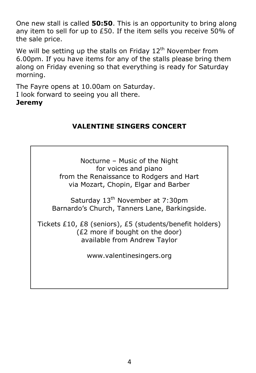One new stall is called **50:50**. This is an opportunity to bring along any item to sell for up to £50. If the item sells you receive 50% of the sale price.

We will be setting up the stalls on Friday  $12<sup>th</sup>$  November from 6.00pm. If you have items for any of the stalls please bring them along on Friday evening so that everything is ready for Saturday morning.

The Fayre opens at 10.00am on Saturday. I look forward to seeing you all there.

### **Jeremy**

# **VALENTINE SINGERS CONCERT**

Nocturne – Music of the Night for voices and piano from the Renaissance to Rodgers and Hart via Mozart, Chopin, Elgar and Barber

Saturday 13<sup>th</sup> November at 7:30pm Barnardo's Church, Tanners Lane, Barkingside.

Tickets £10, £8 (seniors), £5 (students/benefit holders) (£2 more if bought on the door) available from Andrew Taylor

www.valentinesingers.org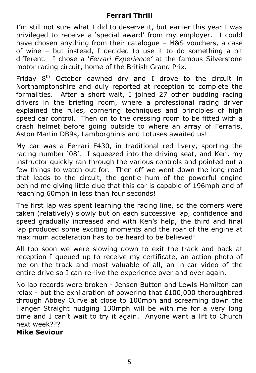# **Ferrari Thrill**

I'm still not sure what I did to deserve it, but earlier this year I was privileged to receive a 'special award' from my employer. I could have chosen anything from their catalogue – M&S vouchers, a case of wine – but instead, I decided to use it to do something a bit different. I chose a '*Ferrari Experience'* at the famous Silverstone motor racing circuit, home of the British Grand Prix.

Friday  $8<sup>th</sup>$  October dawned dry and I drove to the circuit in Northamptonshire and duly reported at reception to complete the formalities. After a short wait, I joined 27 other budding racing drivers in the briefing room, where a professional racing driver explained the rules, cornering techniques and principles of high speed car control. Then on to the dressing room to be fitted with a crash helmet before going outside to where an array of Ferraris, Aston Martin DB9s, Lamborghinis and Lotuses awaited us!

My car was a Ferrari F430, in traditional red livery, sporting the racing number '08'. I squeezed into the driving seat, and Ken, my instructor quickly ran through the various controls and pointed out a few things to watch out for. Then off we went down the long road that leads to the circuit, the gentle hum of the powerful engine behind me giving little clue that this car is capable of 196mph and of reaching 60mph in less than four seconds!

The first lap was spent learning the racing line, so the corners were taken (relatively) slowly but on each successive lap, confidence and speed gradually increased and with Ken's help, the third and final lap produced some exciting moments and the roar of the engine at maximum acceleration has to be heard to be believed!

All too soon we were slowing down to exit the track and back at reception I queued up to receive my certificate, an action photo of me on the track and most valuable of all, an in-car video of the entire drive so I can re-live the experience over and over again.

No lap records were broken - Jensen Button and Lewis Hamilton can relax - but the exhilaration of powering that £100,000 thoroughbred through Abbey Curve at close to 100mph and screaming down the Hanger Straight nudging 130mph will be with me for a very long time and I can't wait to try it again. Anyone want a lift to Church next week???

**Mike Seviour**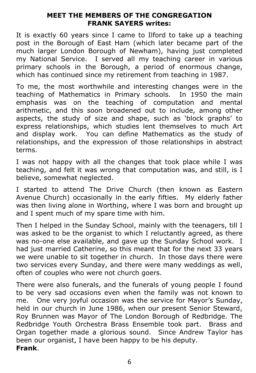#### **MEET THE MEMBERS OF THE CONGREGATION FRANK SAYERS writes:**

It is exactly 60 years since I came to Ilford to take up a teaching post in the Borough of East Ham (which later became part of the much larger London Borough of Newham), having just completed my National Service. I served all my teaching career in various primary schools in the Borough, a period of enormous change, which has continued since my retirement from teaching in 1987.

To me, the most worthwhile and interesting changes were in the teaching of Mathematics in Primary schools. In 1950 the main emphasis was on the teaching of computation and mental arithmetic, and this soon broadened out to include, among other aspects, the study of size and shape, such as 'block graphs' to express relationships, which studies lent themselves to much Art and display work. You can define Mathematics as the study of relationships, and the expression of those relationships in abstract terms.

I was not happy with all the changes that took place while I was teaching, and felt it was wrong that computation was, and still, is I believe, somewhat neglected.

I started to attend The Drive Church (then known as Eastern Avenue Church) occasionally in the early fifties. My elderly father was then living alone in Worthing, where I was born and brought up and I spent much of my spare time with him.

Then I helped in the Sunday School, mainly with the teenagers, till I was asked to be the organist to which I reluctantly agreed, as there was no-one else available, and gave up the Sunday School work. I had just married Catherine, so this meant that for the next 33 years we were unable to sit together in church. In those days there were two services every Sunday, and there were many weddings as well, often of couples who were not church goers.

There were also funerals, and the funerals of young people I found to be very sad occasions even when the family was not known to me. One very joyful occasion was the service for Mayor's Sunday, held in our church in June 1986, when our present Senior Steward, Roy Brunnen was Mayor of The London Borough of Redbridge. The Redbridge Youth Orchestra Brass Ensemble took part. Brass and Organ together made a glorious sound. Since Andrew Taylor has been our organist, I have been happy to be his deputy. **Frank**.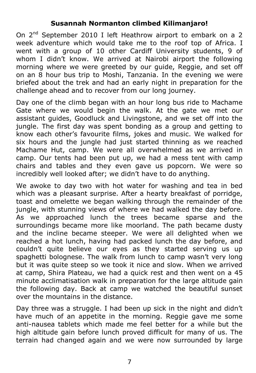### **Susannah Normanton climbed Kilimanjaro!**

On 2<sup>nd</sup> September 2010 I left Heathrow airport to embark on a 2 week adventure which would take me to the roof top of Africa. I went with a group of 10 other Cardiff University students, 9 of whom I didn't know. We arrived at Nairobi airport the following morning where we were greeted by our guide, Reggie, and set off on an 8 hour bus trip to Moshi, Tanzania. In the evening we were briefed about the trek and had an early night in preparation for the challenge ahead and to recover from our long journey.

Day one of the climb began with an hour long bus ride to Machame Gate where we would begin the walk. At the gate we met our assistant guides, Goodluck and Livingstone, and we set off into the jungle. The first day was spent bonding as a group and getting to know each other's favourite films, jokes and music. We walked for six hours and the jungle had just started thinning as we reached Machame Hut, camp. We were all overwhelmed as we arrived in camp. Our tents had been put up, we had a mess tent with camp chairs and tables and they even gave us popcorn. We were so incredibly well looked after; we didn't have to do anything.

We awoke to day two with hot water for washing and tea in bed which was a pleasant surprise. After a hearty breakfast of porridge, toast and omelette we began walking through the remainder of the jungle, with stunning views of where we had walked the day before. As we approached lunch the trees became sparse and the surroundings became more like moorland. The path became dusty and the incline became steeper. We were all delighted when we reached a hot lunch, having had packed lunch the day before, and couldn't quite believe our eyes as they started serving us up spaghetti bolognese. The walk from lunch to camp wasn't very long but it was quite steep so we took it nice and slow. When we arrived at camp, Shira Plateau, we had a quick rest and then went on a 45 minute acclimatisation walk in preparation for the large altitude gain the following day. Back at camp we watched the beautiful sunset over the mountains in the distance.

Day three was a struggle. I had been up sick in the night and didn't have much of an appetite in the morning. Reggie gave me some anti-nausea tablets which made me feel better for a while but the high altitude gain before lunch proved difficult for many of us. The terrain had changed again and we were now surrounded by large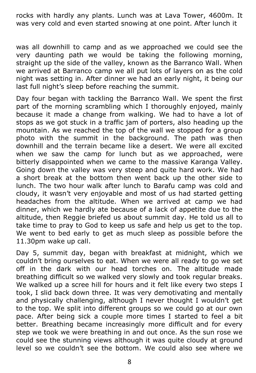rocks with hardly any plants. Lunch was at Lava Tower, 4600m. It was very cold and even started snowing at one point. After lunch it

was all downhill to camp and as we approached we could see the very daunting path we would be taking the following morning, straight up the side of the valley, known as the Barranco Wall. When we arrived at Barranco camp we all put lots of layers on as the cold night was setting in. After dinner we had an early night, it being our last full night's sleep before reaching the summit.

Day four began with tackling the Barranco Wall. We spent the first part of the morning scrambling which I thoroughly enjoyed, mainly because it made a change from walking. We had to have a lot of stops as we got stuck in a traffic jam of porters, also heading up the mountain. As we reached the top of the wall we stopped for a group photo with the summit in the background. The path was then downhill and the terrain became like a desert. We were all excited when we saw the camp for lunch but as we approached, were bitterly disappointed when we came to the massive Karanga Valley. Going down the valley was very steep and quite hard work. We had a short break at the bottom then went back up the other side to lunch. The two hour walk after lunch to Barafu camp was cold and cloudy, it wasn't very enjoyable and most of us had started getting headaches from the altitude. When we arrived at camp we had dinner, which we hardly ate because of a lack of appetite due to the altitude, then Reggie briefed us about summit day. He told us all to take time to pray to God to keep us safe and help us get to the top. We went to bed early to get as much sleep as possible before the 11.30pm wake up call.

Day 5, summit day, began with breakfast at midnight, which we couldn't bring ourselves to eat. When we were all ready to go we set off in the dark with our head torches on. The altitude made breathing difficult so we walked very slowly and took regular breaks. We walked up a scree hill for hours and it felt like every two steps I took, I slid back down three. It was very demotivating and mentally and physically challenging, although I never thought I wouldn't get to the top. We split into different groups so we could go at our own pace. After being sick a couple more times I started to feel a bit better. Breathing became increasingly more difficult and for every step we took we were breathing in and out once. As the sun rose we could see the stunning views although it was quite cloudy at ground level so we couldn't see the bottom. We could also see where we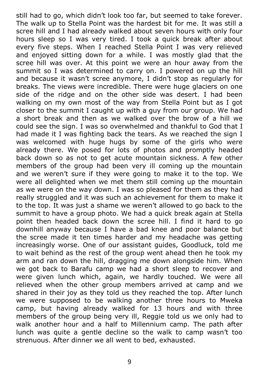still had to go, which didn't look too far, but seemed to take forever. The walk up to Stella Point was the hardest bit for me. It was still a scree hill and I had already walked about seven hours with only four hours sleep so I was very tired. I took a quick break after about every five steps. When I reached Stella Point I was very relieved and enjoyed sitting down for a while. I was mostly glad that the scree hill was over. At this point we were an hour away from the summit so I was determined to carry on. I powered on up the hill and because it wasn't scree anymore, I didn't stop as regularly for breaks. The views were incredible. There were huge glaciers on one side of the ridge and on the other side was desert. I had been walking on my own most of the way from Stella Point but as I got closer to the summit I caught up with a guy from our group. We had a short break and then as we walked over the brow of a hill we could see the sign. I was so overwhelmed and thankful to God that I had made it I was fighting back the tears. As we reached the sign I was welcomed with huge hugs by some of the girls who were already there. We posed for lots of photos and promptly headed back down so as not to get acute mountain sickness. A few other members of the group had been very ill coming up the mountain and we weren't sure if they were going to make it to the top. We were all delighted when we met them still coming up the mountain as we were on the way down. I was so pleased for them as they had really struggled and it was such an achievement for them to make it to the top. It was just a shame we weren't allowed to go back to the summit to have a group photo. We had a quick break again at Stella point then headed back down the scree hill. I find it hard to go downhill anyway because I have a bad knee and poor balance but the scree made it ten times harder and my headache was getting increasingly worse. One of our assistant guides, Goodluck, told me to wait behind as the rest of the group went ahead then he took my arm and ran down the hill, dragging me down alongside him. When we got back to Barafu camp we had a short sleep to recover and were given lunch which, again, we hardly touched. We were all relieved when the other group members arrived at camp and we shared in their joy as they told us they reached the top. After lunch we were supposed to be walking another three hours to Mweka camp, but having already walked for 13 hours and with three members of the group being very ill, Reggie told us we only had to walk another hour and a half to Millennium camp. The path after lunch was quite a gentle decline so the walk to camp wasn't too strenuous. After dinner we all went to bed, exhausted.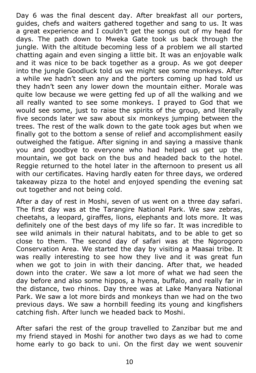Day 6 was the final descent day. After breakfast all our porters, guides, chefs and waiters gathered together and sang to us. It was a great experience and I couldn't get the songs out of my head for days. The path down to Mweka Gate took us back through the jungle. With the altitude becoming less of a problem we all started chatting again and even singing a little bit. It was an enjoyable walk and it was nice to be back together as a group. As we got deeper into the jungle Goodluck told us we might see some monkeys. After a while we hadn't seen any and the porters coming up had told us they hadn't seen any lower down the mountain either. Morale was quite low because we were getting fed up of all the walking and we all really wanted to see some monkeys. I prayed to God that we would see some, just to raise the spirits of the group, and literally five seconds later we saw about six monkeys jumping between the trees. The rest of the walk down to the gate took ages but when we finally got to the bottom a sense of relief and accomplishment easily outweighed the fatigue. After signing in and saying a massive thank you and goodbye to everyone who had helped us get up the mountain, we got back on the bus and headed back to the hotel. Reggie returned to the hotel later in the afternoon to present us all with our certificates. Having hardly eaten for three days, we ordered takeaway pizza to the hotel and enjoyed spending the evening sat out together and not being cold.

After a day of rest in Moshi, seven of us went on a three day safari. The first day was at the Tarangire National Park. We saw zebras, cheetahs, a leopard, giraffes, lions, elephants and lots more. It was definitely one of the best days of my life so far. It was incredible to see wild animals in their natural habitats, and to be able to get so close to them. The second day of safari was at the Ngorogoro Conservation Area. We started the day by visiting a Maasai tribe. It was really interesting to see how they live and it was great fun when we got to join in with their dancing. After that, we headed down into the crater. We saw a lot more of what we had seen the day before and also some hippos, a hyena, buffalo, and really far in the distance, two rhinos. Day three was at Lake Manyara National Park. We saw a lot more birds and monkeys than we had on the two previous days. We saw a hornbill feeding its young and kingfishers catching fish. After lunch we headed back to Moshi.

After safari the rest of the group travelled to Zanzibar but me and my friend stayed in Moshi for another two days as we had to come home early to go back to uni. On the first day we went souvenir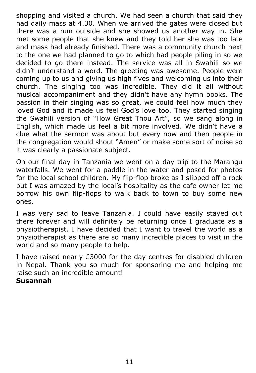shopping and visited a church. We had seen a church that said they had daily mass at 4.30. When we arrived the gates were closed but there was a nun outside and she showed us another way in. She met some people that she knew and they told her she was too late and mass had already finished. There was a community church next to the one we had planned to go to which had people piling in so we decided to go there instead. The service was all in Swahili so we didn't understand a word. The greeting was awesome. People were coming up to us and giving us high fives and welcoming us into their church. The singing too was incredible. They did it all without musical accompaniment and they didn't have any hymn books. The passion in their singing was so great, we could feel how much they loved God and it made us feel God's love too. They started singing the Swahili version of "How Great Thou Art", so we sang along in English, which made us feel a bit more involved. We didn't have a clue what the sermon was about but every now and then people in the congregation would shout "Amen" or make some sort of noise so it was clearly a passionate subject.

On our final day in Tanzania we went on a day trip to the Marangu waterfalls. We went for a paddle in the water and posed for photos for the local school children. My flip-flop broke as I slipped off a rock but I was amazed by the local's hospitality as the cafe owner let me borrow his own flip-flops to walk back to town to buy some new ones.

I was very sad to leave Tanzania. I could have easily stayed out there forever and will definitely be returning once I graduate as a physiotherapist. I have decided that I want to travel the world as a physiotherapist as there are so many incredible places to visit in the world and so many people to help.

I have raised nearly £3000 for the day centres for disabled children in Nepal. Thank you so much for sponsoring me and helping me raise such an incredible amount! **Susannah**